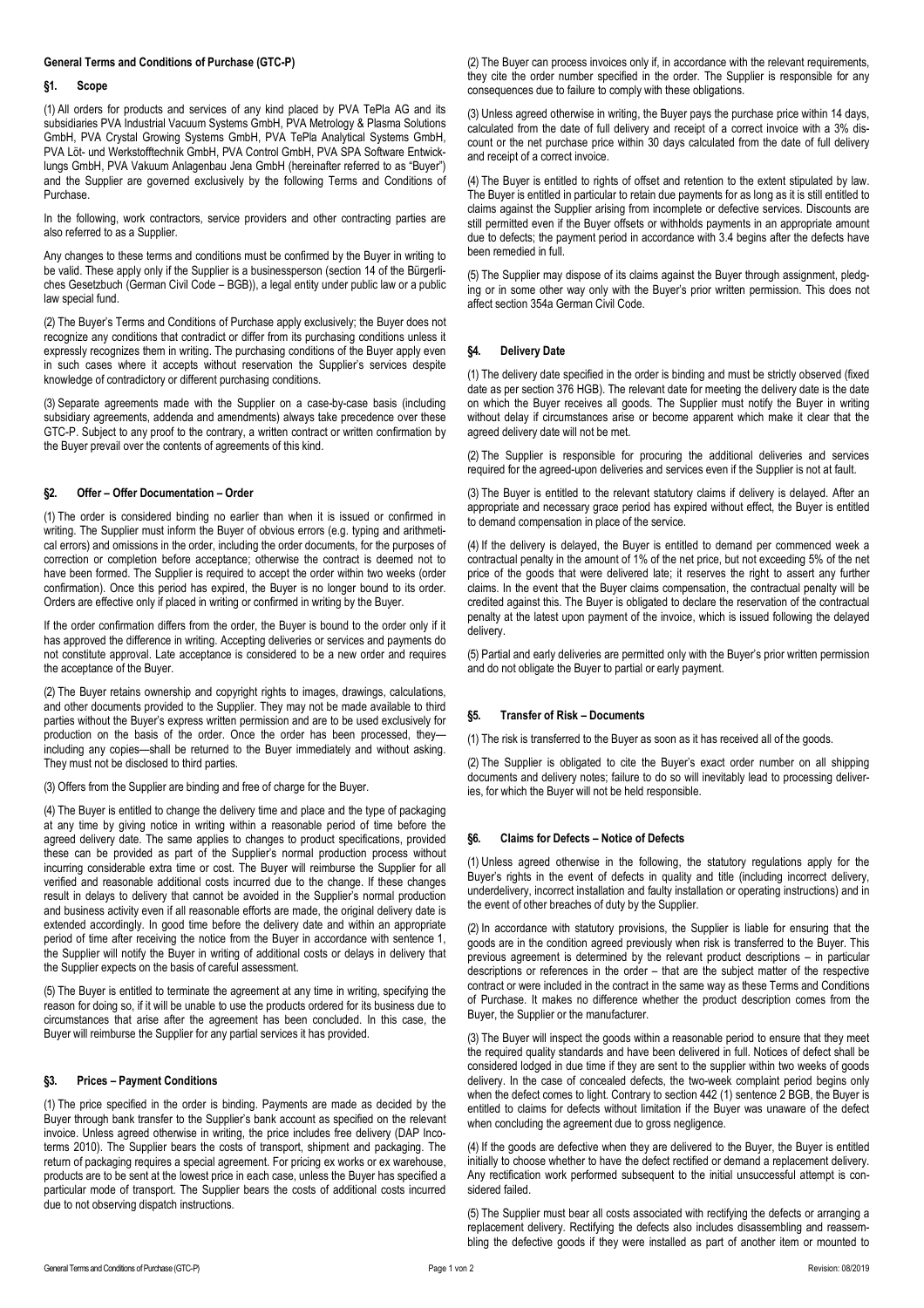# **General Terms and Conditions of Purchase (GTC-P)**

#### **§1. Scope**

(1) All orders for products and services of any kind placed by PVA TePla AG and its subsidiaries PVA Industrial Vacuum Systems GmbH, PVA Metrology & Plasma Solutions GmbH, PVA Crystal Growing Systems GmbH, PVA TePla Analytical Systems GmbH, PVA Löt- und Werkstofftechnik GmbH, PVA Control GmbH, PVA SPA Software Entwicklungs GmbH, PVA Vakuum Anlagenbau Jena GmbH (hereinafter referred to as "Buyer") and the Supplier are governed exclusively by the following Terms and Conditions of Purchase.

In the following, work contractors, service providers and other contracting parties are also referred to as a Supplier.

Any changes to these terms and conditions must be confirmed by the Buyer in writing to be valid. These apply only if the Supplier is a businessperson (section 14 of the Bürgerliches Gesetzbuch (German Civil Code – BGB)), a legal entity under public law or a public law special fund.

(2) The Buyer's Terms and Conditions of Purchase apply exclusively; the Buyer does not recognize any conditions that contradict or differ from its purchasing conditions unless it expressly recognizes them in writing. The purchasing conditions of the Buyer apply even in such cases where it accepts without reservation the Supplier's services despite knowledge of contradictory or different purchasing conditions.

(3) Separate agreements made with the Supplier on a case-by-case basis (including subsidiary agreements, addenda and amendments) always take precedence over these GTC-P. Subject to any proof to the contrary, a written contract or written confirmation by the Buyer prevail over the contents of agreements of this kind.

## **§2. Offer – Offer Documentation – Order**

(1) The order is considered binding no earlier than when it is issued or confirmed in writing. The Supplier must inform the Buyer of obvious errors (e.g. typing and arithmetical errors) and omissions in the order, including the order documents, for the purposes of correction or completion before acceptance; otherwise the contract is deemed not to have been formed. The Supplier is required to accept the order within two weeks (order confirmation). Once this period has expired, the Buyer is no longer bound to its order. Orders are effective only if placed in writing or confirmed in writing by the Buyer.

If the order confirmation differs from the order, the Buyer is bound to the order only if it has approved the difference in writing. Accepting deliveries or services and payments do not constitute approval. Late acceptance is considered to be a new order and requires the acceptance of the Buyer.

(2) The Buyer retains ownership and copyright rights to images, drawings, calculations, and other documents provided to the Supplier. They may not be made available to third parties without the Buyer's express written permission and are to be used exclusively for production on the basis of the order. Once the order has been processed, they including any copies—shall be returned to the Buyer immediately and without asking. They must not be disclosed to third parties.

(3) Offers from the Supplier are binding and free of charge for the Buyer.

(4) The Buyer is entitled to change the delivery time and place and the type of packaging at any time by giving notice in writing within a reasonable period of time before the agreed delivery date. The same applies to changes to product specifications, provided these can be provided as part of the Supplier's normal production process without incurring considerable extra time or cost. The Buyer will reimburse the Supplier for all verified and reasonable additional costs incurred due to the change. If these changes result in delays to delivery that cannot be avoided in the Supplier's normal production and business activity even if all reasonable efforts are made, the original delivery date is extended accordingly. In good time before the delivery date and within an appropriate period of time after receiving the notice from the Buyer in accordance with sentence 1, the Supplier will notify the Buyer in writing of additional costs or delays in delivery that the Supplier expects on the basis of careful assessment.

(5) The Buyer is entitled to terminate the agreement at any time in writing, specifying the reason for doing so, if it will be unable to use the products ordered for its business due to circumstances that arise after the agreement has been concluded. In this case, the Buyer will reimburse the Supplier for any partial services it has provided.

#### **§3. Prices – Payment Conditions**

(1) The price specified in the order is binding. Payments are made as decided by the Buyer through bank transfer to the Supplier's bank account as specified on the relevant invoice. Unless agreed otherwise in writing, the price includes free delivery (DAP Incoterms 2010). The Supplier bears the costs of transport, shipment and packaging. The return of packaging requires a special agreement. For pricing ex works or ex warehouse, products are to be sent at the lowest price in each case, unless the Buyer has specified a particular mode of transport. The Supplier bears the costs of additional costs incurred due to not observing dispatch instructions.

(2) The Buyer can process invoices only if, in accordance with the relevant requirements, they cite the order number specified in the order. The Supplier is responsible for any consequences due to failure to comply with these obligations.

(3) Unless agreed otherwise in writing, the Buyer pays the purchase price within 14 days, calculated from the date of full delivery and receipt of a correct invoice with a 3% discount or the net purchase price within 30 days calculated from the date of full delivery and receipt of a correct invoice.

(4) The Buyer is entitled to rights of offset and retention to the extent stipulated by law. The Buyer is entitled in particular to retain due payments for as long as it is still entitled to claims against the Supplier arising from incomplete or defective services. Discounts are still permitted even if the Buyer offsets or withholds payments in an appropriate amount due to defects; the payment period in accordance with 3.4 begins after the defects have been remedied in full.

(5) The Supplier may dispose of its claims against the Buyer through assignment, pledging or in some other way only with the Buyer's prior written permission. This does not affect section 354a German Civil Code.

#### **§4. Delivery Date**

(1) The delivery date specified in the order is binding and must be strictly observed (fixed date as per section 376 HGB). The relevant date for meeting the delivery date is the date on which the Buyer receives all goods. The Supplier must notify the Buyer in writing without delay if circumstances arise or become apparent which make it clear that the agreed delivery date will not be met.

(2) The Supplier is responsible for procuring the additional deliveries and services required for the agreed-upon deliveries and services even if the Supplier is not at fault.

(3) The Buyer is entitled to the relevant statutory claims if delivery is delayed. After an appropriate and necessary grace period has expired without effect, the Buyer is entitled to demand compensation in place of the service.

(4) If the delivery is delayed, the Buyer is entitled to demand per commenced week a contractual penalty in the amount of 1% of the net price, but not exceeding 5% of the net price of the goods that were delivered late; it reserves the right to assert any further claims. In the event that the Buyer claims compensation, the contractual penalty will be credited against this. The Buyer is obligated to declare the reservation of the contractual penalty at the latest upon payment of the invoice, which is issued following the delayed delivery.

(5) Partial and early deliveries are permitted only with the Buyer's prior written permission and do not obligate the Buyer to partial or early payment.

## **§5. Transfer of Risk – Documents**

(1) The risk is transferred to the Buyer as soon as it has received all of the goods.

(2) The Supplier is obligated to cite the Buyer's exact order number on all shipping documents and delivery notes; failure to do so will inevitably lead to processing deliveries, for which the Buyer will not be held responsible.

#### **§6. Claims for Defects – Notice of Defects**

(1) Unless agreed otherwise in the following, the statutory regulations apply for the Buyer's rights in the event of defects in quality and title (including incorrect delivery, underdelivery, incorrect installation and faulty installation or operating instructions) and in the event of other breaches of duty by the Supplier.

(2) In accordance with statutory provisions, the Supplier is liable for ensuring that the goods are in the condition agreed previously when risk is transferred to the Buyer. This previous agreement is determined by the relevant product descriptions – in particular descriptions or references in the order – that are the subject matter of the respective contract or were included in the contract in the same way as these Terms and Conditions of Purchase. It makes no difference whether the product description comes from the Buyer, the Supplier or the manufacturer.

(3) The Buyer will inspect the goods within a reasonable period to ensure that they meet the required quality standards and have been delivered in full. Notices of defect shall be considered lodged in due time if they are sent to the supplier within two weeks of goods delivery. In the case of concealed defects, the two-week complaint period begins only when the defect comes to light. Contrary to section 442 (1) sentence 2 BGB, the Buyer is entitled to claims for defects without limitation if the Buyer was unaware of the defect when concluding the agreement due to gross negligence.

(4) If the goods are defective when they are delivered to the Buyer, the Buyer is entitled initially to choose whether to have the defect rectified or demand a replacement delivery. Any rectification work performed subsequent to the initial unsuccessful attempt is considered failed.

(5) The Supplier must bear all costs associated with rectifying the defects or arranging a replacement delivery. Rectifying the defects also includes disassembling and reassembling the defective goods if they were installed as part of another item or mounted to